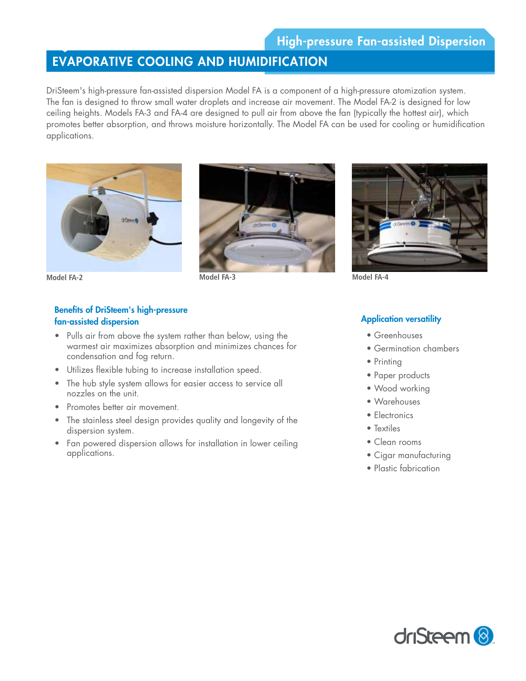## EVAPORATIVE COOLING AND HUMIDIFICATION

DriSteem's high-pressure fan-assisted dispersion Model FA is a component of a high-pressure atomization system. The fan is designed to throw small water droplets and increase air movement. The Model FA-2 is designed for low ceiling heights. Models FA-3 and FA-4 are designed to pull air from above the fan (typically the hottest air), which promotes better absorption, and throws moisture horizontally. The Model FA can be used for cooling or humidification applications.







## Benefits of DriSteem's high-pressure fan-assisted dispersion

- Pulls air from above the system rather than below, using the warmest air maximizes absorption and minimizes chances for condensation and fog return.
- Utilizes flexible tubing to increase installation speed.
- The hub style system allows for easier access to service all nozzles on the unit.
- Promotes better air movement.
- The stainless steel design provides quality and longevity of the dispersion system.
- Fan powered dispersion allows for installation in lower ceiling applications.



## **Application versatility**

- Greenhouses
- Germination chambers
- Printing
- Paper products
- Wood working
- Warehouses
- Electronics
- Textiles
- Clean rooms
- Cigar manufacturing
- Plastic fabrication